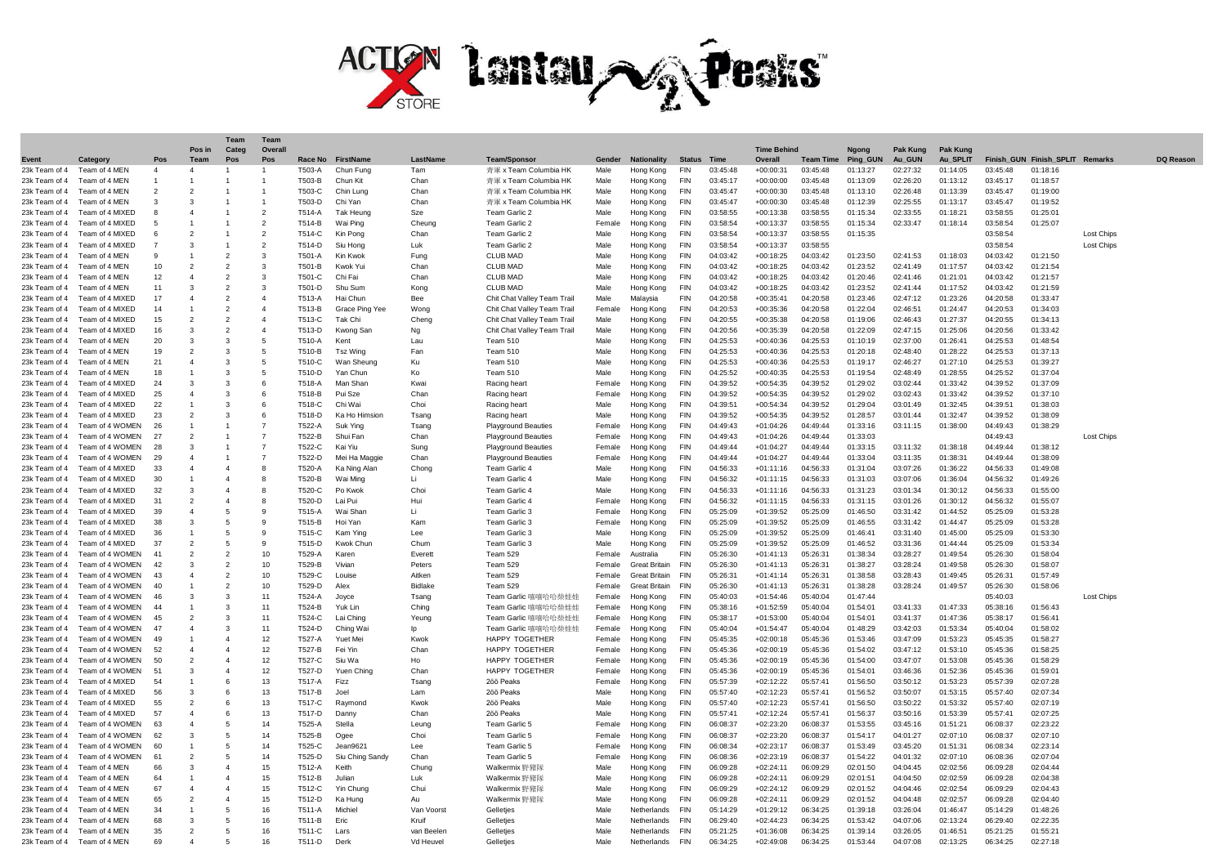

| Event         | Category                    | Pos            | Pos in<br>Team           | Categ<br>Pos             | Overal<br>Pos            | Race No | FirstName        | LastName       | <b>Team/Sponsor</b>         | Gender | <b>Nationality</b>   | <b>Status</b> | Time     | <b>Time Behind</b><br>Overall | <b>Team Time</b> | <b>Naona</b><br>Ping GUN | Pak Kung<br>Au GUN | <b>Pak Kung</b><br>Au SPLIT |          | Finish GUN Finish SPLIT Remarks |                   | DO Reason |
|---------------|-----------------------------|----------------|--------------------------|--------------------------|--------------------------|---------|------------------|----------------|-----------------------------|--------|----------------------|---------------|----------|-------------------------------|------------------|--------------------------|--------------------|-----------------------------|----------|---------------------------------|-------------------|-----------|
| 23k Team of 4 | Team of 4 MEN               | $\overline{4}$ | $\overline{4}$           |                          |                          | T503-A  | Chun Func        | Tam            | 青軍 x Team Columbia HK       | Male   | Hong Kong            | <b>FIN</b>    | 03:45:48 | $+00:00:31$                   | 03:45:48         | 01:13:27                 | 02:27:32           | 01:14:05                    | 03:45:48 | 01:18:16                        |                   |           |
| 23k Team of 4 | Team of 4 MEN               |                |                          |                          |                          | T503-B  | Chun Kit         | Chan           | 青軍 x Team Columbia Hk       | Male   | Hong Kong            | <b>FIN</b>    | 03:45:17 | $+00:00:00$                   | 03:45:48         | 01:13:09                 | 02:26:20           | 01:13:12                    | 03:45:17 | 01:18:57                        |                   |           |
| 23k Team of 4 | Team of 4 MEN               |                |                          |                          |                          | T503-C  | Chin Lung        | Chan           | 青軍 x Team Columbia HK       | Male   | Hong Kong            | <b>FIN</b>    | 03:45:47 | $+00:00:30$                   | 03:45:48         | 01:13:10                 | 02:26:48           | 01:13:39                    | 03:45:47 | 01:19:00                        |                   |           |
| 23k Team of 4 | Team of 4 MEN               |                | 3                        |                          |                          | T503-D  | Chi Yan          | Chan           | 青軍 x Team Columbia HK       | Male   | Hong Kong            | <b>FIN</b>    | 03:45:47 | $+00:00:30$                   | 03:45:48         | 01:12:39                 | 02:25:55           | 01:13:17                    | 03:45:47 | 01:19:52                        |                   |           |
| 23k Team of 4 | Team of 4 MIXED             |                | $\boldsymbol{\Delta}$    |                          | $\overline{2}$           | T514-A  | <b>Tak Heung</b> | Sze            | Team Garlic 2               | Male   | Hong Kong            | <b>FIN</b>    | 03:58:55 | $+00:13:38$                   | 03:58:55         | 01:15:34                 | 02:33:55           | 01:18:21                    | 03:58:55 | 01:25:0'                        |                   |           |
| 23k Team of 4 | Team of 4 MIXED             |                |                          |                          | $\overline{\phantom{0}}$ | T514-B  | Wai Ping         | Cheung         | Team Garlic 2               | Femal  | Hong Kong            | <b>FIN</b>    | 03:58:54 | $+00:13:37$                   | 03:58:55         | 01:15:34                 | 02:33:47           | 01:18:14                    | 03:58:54 | 01:25:07                        |                   |           |
| 23k Team of 4 | Team of 4 MIXED             |                | 2                        |                          | $\overline{2}$           | T514-C  | Kin Pong         | Chan           | Team Garlic 2               | Male   | Hong Kong            | FIN           | 03:58:54 | $+00:13:37$                   | 03:58:55         | 01:15:35                 |                    |                             | 03:58:54 |                                 | Lost Chips        |           |
| 23k Team of 4 | Team of 4 MIXED             |                | 3                        |                          | $\overline{\phantom{a}}$ | T514-D  | Siu Hono         | Luk            | Team Garlic 2               | Male   | Hong Kong            | <b>FIN</b>    | 03:58:54 | $+00:13:37$                   | 03:58:55         |                          |                    |                             | 03:58:54 |                                 | <b>Lost Chips</b> |           |
| 23k Team of 4 | Team of 4 MEN               |                |                          | $\overline{2}$           | 3                        | T501-A  | Kin Kwok         | Fung           | <b>CLUB MAD</b>             | Male   | Hong Kong            | FIN           | 04:03:42 | $+00:18:25$                   | 04:03:42         | 01:23:50                 | 02:41:53           | 01:18:03                    | 04:03:42 | 01:21:50                        |                   |           |
| 23k Team of 4 | Team of 4 MEN               | 10             | $\overline{2}$           | $\mathcal{P}$            | $\mathbf{a}$             | T501-B  | Kwok Yui         | Chan           | <b>CLUB MAD</b>             | Male   | Hong Kong            | <b>FIN</b>    | 04:03:42 | $+00:18:25$                   | 04:03:42         | 01:23:52                 | 02:41:49           | 01:17:57                    | 04:03:42 | 01:21:54                        |                   |           |
| 23k Team of 4 | Team of 4 MEN               | 12             | $\Delta$                 | $\overline{\phantom{a}}$ | 3                        | T501-C  | Chi Fai          | Chan           | <b>CLUB MAD</b>             | Male   | Hong Kong            | FIN           | 04:03:42 | $+00:18:25$                   | 04:03:42         | 01:20:46                 | 02:41:46           | 01:21:01                    | 04:03:42 | 01:21:57                        |                   |           |
| 23k Team of 4 | Team of 4 MEN               | 11             | $\mathcal{R}$            | $\mathcal{P}$            | 3                        | T501-D  | Shu Sum          | Kong           | <b>CLUB MAD</b>             | Male   | Hong Kong            | <b>FIN</b>    | 04:03:42 | $+00:18:25$                   | 04:03:42         | 01:23:52                 | 02:41:44           | 01:17:52                    | 04:03:42 | 01:21:59                        |                   |           |
| 23k Team of 4 | Team of 4 MIXED             | 17             | $\boldsymbol{\Lambda}$   | $\overline{\phantom{0}}$ | $\boldsymbol{\Delta}$    | T513-A  | Hai Chur         | Bee            | Chit Chat Valley Team Trail | Male   | Malaysia             | <b>FIN</b>    | 04:20:58 | $+00:35:41$                   | 04:20:58         | 01:23:46                 | 02:47:12           | 01:23:26                    | 04:20:58 | 01:33:47                        |                   |           |
| 23k Team of 4 | Team of 4 MIXED             | 14             | 1                        | $\overline{z}$           | $\overline{4}$           | T513-B  | Grace Ping Yee   | Wong           | Chit Chat Valley Team Trail | Femal  | Hong Kong            | <b>FIN</b>    | 04:20:53 | $+00:35:36$                   | 04:20:58         | 01:22:04                 | 02:46:51           | 01:24:47                    | 04:20:53 | 01:34:03                        |                   |           |
| 23k Team of 4 | Team of 4 MIXED             | 15             | $\overline{2}$           | $\overline{\phantom{0}}$ | $\Delta$                 | T513-C  | Tak Ch           | Cheng          | Chit Chat Valley Team Trail | Male   | Hong Kong            | <b>FIN</b>    | 04:20:55 | $+00:35:38$                   | 04:20:58         | 01:19:06                 | 02:46:43           | 01:27:37                    | 04:20:55 | 01:34:13                        |                   |           |
| 23k Team of 4 | Team of 4 MIXED             | 16             | 3                        | $\overline{\phantom{a}}$ | $\overline{4}$           | T513-D  | Kwong San        | Na             | Chit Chat Valley Team Trail | Male   | Hong Kong            | <b>FIN</b>    | 04:20:56 | $+00:35:39$                   | 04:20:58         | 01:22:09                 | 02:47:15           | 01:25:06                    | 04:20:56 | 01:33:42                        |                   |           |
| 23k Team of 4 | Team of 4 MFN               | 20             | 3                        | 3                        | 5                        | T510-A  | Kent             | Lau            | <b>Team 510</b>             | Male   | Hong Kong            | FIN           | 04:25:53 | $+00:40:36$                   | 04:25:53         | 01:10:19                 | 02:37:00           | 01:26:41                    | 04:25:53 | 01:48:54                        |                   |           |
| 23k Team of 4 | Team of 4 MEN               | 19             | $\overline{2}$           | 3                        | 5                        | T510-B  | Tsz Wing         | Fan            | <b>Team 510</b>             | Male   | Hong Kong            | <b>FIN</b>    | 04:25:53 | $+00:40:36$                   | 04:25:53         | 01:20:18                 | 02:48:40           | 01:28:22                    | 04:25:53 | 01:37:13                        |                   |           |
| 23k Team of 4 | Team of 4 MEN               | 21             | $\boldsymbol{\Lambda}$   | 3                        | 5                        | T510-C  | Wan Sheund       | KH             | Team 510                    | Male   | Hong Kong            | <b>FIN</b>    | 04:25:53 | $+00:40:36$                   | 04:25:53         | 01.19.17                 | 02:46:27           | 01:27:10                    | 04:25:53 | 01:39:27                        |                   |           |
| 23k Team of 4 | Team of 4 MEN               | 18             |                          | 3                        | 5                        | T510-D  | Yan Chun         | Ko             | Team 510                    | Male   | Hong Kong            | <b>FIN</b>    | 04:25:52 | $+00:40:35$                   | 04:25:53         | 01:19:54                 | 02:48:49           | 01:28:55                    | 04:25:52 | 01:37:04                        |                   |           |
| 23k Team of 4 | Team of 4 MIXED             | 24             | 3                        | 3                        | 6                        | T518-A  | Man Shar         | Kwai           | Racing heart                | Femal  | Hong Kong            | <b>FIN</b>    | 04:39:52 | $+00:54:35$                   | 04:39:52         | 01:29:02                 | 03:02:44           | 01:33:42                    | 04:39:52 | 01:37:09                        |                   |           |
| 23k Team of 4 | Team of 4 MIXED             | 25             | $\Delta$                 | 3                        | 6                        | T518-B  | Pui Sze          | Chan           | Racing heart                | Femal  | Hong Kong            | FIN           | 04:39:52 | $+00:54:35$                   | 04:39:52         | 01:29:02                 | 03:02:43           | 01:33:42                    | 04:39:52 | 01:37:10                        |                   |           |
| 23k Team of 4 | Team of 4 MIXED             | 22             |                          | 3                        | 6                        | T518-C  | Chi Wai          | Choi           | Racing heart                | Male   | Hong Kong            | <b>FIN</b>    | 04:39:51 | $+00:54:34$                   | 04:39:52         | 01:29:04                 | 03:01:49           | 01:32:45                    | 04:39:5  | 01:38:03                        |                   |           |
| 23k Team of 4 | Team of 4 MIXED             | 23             | $\mathcal{P}$            | 3                        | 6                        | T518-D  | Ka Ho Himsion    | Tsang          | Racing heart                | Male   | Hong Kong            | <b>FIN</b>    | 04:39:52 | $+00:54:35$                   | 04:39:52         | 01:28:57                 | 03:01:44           | 01:32:47                    | 04:39:52 | 01:38:09                        |                   |           |
| 23k Team of 4 | Team of 4 WOMEN             | 26             |                          |                          | $\overline{z}$           | T522-A  | Suk Ying         | Tsang          | <b>Playground Beauties</b>  | Female | Hong Kong            | <b>FIN</b>    | 04:49:43 | $+01:04:26$                   | 04:49:44         | 01:33:16                 | 03:11:15           | 01:38:00                    | 04:49:43 | 01:38:29                        |                   |           |
| 23k Team of 4 | Team of 4 WOMEN             | 27             | $\overline{\phantom{a}}$ |                          | $\overline{7}$           | T522-B  | Shui Far         | Chan           | <b>Playground Beauties</b>  | Femal  | Hona Kona            | <b>FIN</b>    | 04:49:43 | $+01:04:26$                   | 04:49:44         | 01:33:03                 |                    |                             | 04:49:43 |                                 | <b>Lost Chips</b> |           |
| 23k Team of 4 | Team of 4 WOMEN             | 28             | 3                        | $\overline{1}$           | 7                        | T522-C  | Kai Yiu          | Sung           | <b>Playground Beauties</b>  | Female | Hong Kong            | <b>FIN</b>    | 04.49.44 | $+01:04:27$                   | 04.49.44         | 01:33:15                 | 03:11:32           | 01:38:18                    | 04:49:44 | 01:38:12                        |                   |           |
| 23k Team of 4 | Team of 4 WOMEN             | 29             |                          |                          |                          | T522-D  | Mei Ha Maggie    | Chan           | <b>Playground Beauties</b>  | Femal  | Hong Kong            | FIN           | 04:49:44 | $+01:04:27$                   | 04:49:44         | 01:33:04                 | 03:11:35           | 01:38:31                    | 04:49:44 | 01:38:09                        |                   |           |
| 23k Team of 4 | Team of 4 MIXED             | 33             | $\boldsymbol{\Lambda}$   | $\boldsymbol{\Lambda}$   | 8                        | T520-A  | Ka Ning Alan     | Chong          | Team Garlic 4               | Male   | Hong Kong            | <b>FIN</b>    | 04:56:33 | $+01:11:16$                   | 04:56:33         | 01:31:04                 | 03:07:26           | 01:36:22                    | 04:56:33 | 01:49:08                        |                   |           |
| 23k Team of 4 | Team of 4 MIXED             | 30             | 1                        | $\Delta$                 | 8                        | T520-B  | Wai Mino         | Li.            | Team Garlic 4               | Male   | Hong Kong            | <b>FIN</b>    | 04:56:32 | $+01:11:15$                   | 04:56:33         | 01:31:03                 | 03:07:06           | 01:36:04                    | 04:56:32 | 01:49:26                        |                   |           |
| 23k Team of 4 | Team of 4 MIXED             | 32             | $\mathbf{a}$             | $\Delta$                 | 8                        | T520-C  | Po Kwok          | Cho            | Team Garlic 4               | Male   | Hong Kong            | <b>FIN</b>    | 04:56:33 | $+01:11:16$                   | 04:56:33         | 01:31:23                 | 03:01:34           | 01:30:12                    | 04:56:33 | 01:55:00                        |                   |           |
| 23k Team of 4 | Team of 4 MIXED             | 31             | $\mathcal{P}$            | $\Delta$                 | 8                        | T520-D  | Lai Pui          | Hui            | Team Garlic 4               | Femal  | Hong Kong            | FIN           | 04:56:32 | +01:11:15                     | 04:56:33         | 01:31:15                 | 03:01:26           | 01:30:12                    | 04:56:32 | 01:55:07                        |                   |           |
| 23k Team of 4 | Team of 4 MIXED             | 39             |                          | 5                        | $\mathbf{q}$             | T515-A  | Wai Shar         | Li             | Team Garlic 3               | Female | Hong Kong            | <b>FIN</b>    | 05:25:09 | $+01:39:52$                   | 05:25:09         | 01:46:50                 | 03:31:42           | 01:44:52                    | 05:25:09 | 01:53:28                        |                   |           |
| 23k Team of 4 | Team of 4 MIXED             | 38             | 3                        | 5                        | 9                        | T515-B  | Hoi Yan          | Kam            | Team Garlic 3               | Female | Hong Kong            | FIN           | 05:25:09 | +01:39:52                     | 05:25:09         | 01:46:55                 | 03:31:42           | 01:44:47                    | 05:25:09 | 01:53:28                        |                   |           |
| 23k Team of 4 | Team of 4 MIXED             | 36             |                          | 5                        | q                        | T515-C  | Kam Ying         | Lee            | Team Garlic 3               | Male   | Hong Kong            | <b>FIN</b>    | 05:25:09 | $+01:39:52$                   | 05:25:09         | 01:46:41                 | 03:31:40           | 01:45:00                    | 05:25:09 | 01:53:30                        |                   |           |
| 23k Team of 4 | Team of 4 MIXED             | 37             | $\mathcal{P}$            | 5                        | 9                        | T515-D  | Kwok Chun        | Chum           | Team Garlic 3               | Male   | Hong Kong            | <b>FIN</b>    | 05:25:09 | $+01:39:52$                   | 05:25:09         | 01:46:52                 | 03:31:36           | 01:44:44                    | 05:25:09 | 01:53:34                        |                   |           |
| 23k Team of 4 | Team of 4 WOMEN             | 41             | $\mathcal{P}$            | $\mathfrak{p}$           | 10                       | T529-A  | Karer            | Everett        | Team 529                    | Female | Australia            | <b>FIN</b>    | 05:26:30 | $+01:41:13$                   | 05:26:31         | 01:38:34                 | 03:28:27           | 01:49:54                    | 05:26:30 | 01:58:04                        |                   |           |
| 23k Team of 4 | Team of 4 WOMEN             | 42             | 3                        | $\overline{2}$           | 10                       | T529-B  | Viviar           | Peters         | Team 529                    | Femal  | <b>Great Britain</b> | <b>FIN</b>    | 05:26:30 | $+01:41:13$                   | 05:26:31         | 01:38:27                 | 03:28:24           | 01:49:58                    | 05:26:30 | 01:58:07                        |                   |           |
| 23k Team of 4 | Team of 4 WOMEN             |                | $\boldsymbol{\Delta}$    | $\mathcal{P}$            | 10                       | T529-C  | Louise           | Aitken         | Team 529                    | Female | <b>Great Britain</b> | <b>FIN</b>    | 05:26:31 | $+01:41:14$                   | 05:26:31         | 01:38:58                 | 03:28:43           | 01:49:45                    | 05:26:31 | 01:57:49                        |                   |           |
| 23k Team of 4 | Team of 4 WOMEN             |                |                          | $\overline{z}$           | 10                       | T529-D  | Alex             | Bidlake        | Team 529                    | Female | <b>Great Britain</b> | <b>FIN</b>    | 05:26:30 | $+01:41:13$                   | 05:26:31         | 01:38:28                 | 03:28:24           | 01:49:57                    | 05:26:30 | 01:58:06                        |                   |           |
| 23k Team of 4 | Team of 4 WOMEN             |                | 3                        | 3                        | 11                       | T524-A  | Jovce            | Tsang          | Team Garlic 嘻嘻哈哈柴娃娃         | Female | Hong Kong            | <b>FIN</b>    | 05:40:03 | $+01:54:46$                   | 05:40:04         | 01:47:44                 |                    |                             | 05:40:03 |                                 | <b>Lost Chips</b> |           |
| 23k Team of 4 | Team of 4 WOMEN             | $\Lambda$      |                          | 3                        | 11                       | T524-B  | Yuk Lin          | Ching          | Team Garlic 嘻嘻哈哈柴娃娃         | Female | Hong Kong            | <b>FIN</b>    | 05:38:16 | +01:52:59                     | 05:40:04         | 01:54:01                 | 03:41:33           | 01:47:33                    | 05:38:16 | 01:56:43                        |                   |           |
| 23k Team of 4 | Team of 4 WOMEN             |                | $\overline{\phantom{a}}$ | 3                        | 11                       | T524-C  | Lai Ching        | Yeuna          | Team Garlic 嘻嘻哈哈柴娃娃         | Femal  | Hong Kong            | <b>FIN</b>    | 05:38:17 | $+01:53:00$                   | 05:40:04         | 01:54:01                 | 03:41:37           | 01:47:36                    | 05:38:17 | 01:56:4'                        |                   |           |
| 23k Team of 4 | Team of 4 WOMEN             | $\Lambda$      | $\boldsymbol{\Lambda}$   | 3                        | 11                       | T524-D  | Ching Wai        | Ip             | Team Garlic 嘻嘻哈哈柴娃娃         | Female | Hong Kong            | FIN           | 05:40:04 | $+01:54:47$                   | 05:40:04         | 01:48:29                 | 03:42:03           | 01:53:34                    | 05:40:04 | 01:58:02                        |                   |           |
| 23k Team of 4 | Team of 4 WOMEN             |                |                          |                          | 12                       | T527-A  | Yuet Mei         | Kwok           | <b>HAPPY TOGETHER</b>       | Female | Hong Kong            | <b>FIN</b>    | 05:45:35 | $+02:00:18$                   | 05:45:36         | 01:53:46                 | 03:47:09           | 01:53:23                    | 05:45:35 | 01:58:27                        |                   |           |
| 23k Team of 4 | Team of 4 WOMEN             | 52             | $\boldsymbol{\Delta}$    | $\Delta$                 | 12                       | T527-B  | Fei Yin          | Chan           | HAPPY TOGETHER              | Femal  | Hong Kong            | <b>FIN</b>    | 05:45:36 | $+02:00:19$                   | 05:45:36         | 01:54:02                 | 03:47:12           | 01:53:10                    | 05:45:36 | 01:58:25                        |                   |           |
| 23k Team of 4 | Team of 4 WOMEN             | 50             | $\overline{\phantom{a}}$ | $\Delta$                 | 12                       | T527-C  | Siu Wa           | H <sub>0</sub> | HAPPY TOGETHER              | Female | Hong Kong            | FIN           | 05:45:36 | $+02:00:19$                   | 05:45:36         | 01:54:00                 | 03:47:07           | 01:53:08                    | 05:45:36 | 01:58:29                        |                   |           |
| 23k Team of 4 | Team of 4 WOMEN             | 51             | $\mathcal{R}$            | $\Delta$                 | 12                       | T527-D  | Yuen Ching       | Chan           | <b>HAPPY TOGETHER</b>       | Femal  | Hong Kong            | <b>FIN</b>    | 05:45:36 | $+02:00:19$                   | 05:45:36         | 01:54:01                 | 03:46:36           | 01:52:36                    | 05:45:36 | 01:59:0'                        |                   |           |
| 23k Team of 4 | Team of 4 MIXED             | 54             |                          |                          | 13                       | T517-A  | Fizz             | Tsang          | 2öö Peaks                   | Femal  | Hong Kong            | <b>FIN</b>    | 05:57:39 | $+02:12:22$                   | 05:57:41         | 01:56:50                 | 03:50:12           | 01:53:23                    | 05:57:39 | 02:07:28                        |                   |           |
| 23k Team of 4 | Team of 4 MIXED             | 56             | $\mathcal{R}$            | 6                        | 13                       | T517-B  | Joel             | Lam            | 2öö Peaks                   | Male   | Hong Kong            | <b>FIN</b>    | 05:57:40 | $+02:12:23$                   | 05:57:41         | 01:56:52                 | 03:50:07           | 01:53:15                    | 05:57:40 | 02:07:34                        |                   |           |
| 23k Team of 4 | Team of 4 MIXED             | 55             | $\overline{\phantom{a}}$ | 6                        | 13                       | T517-C  | Raymond          | Kwok           | 2öö Peaks                   | Male   | Hong Kong            | <b>FIN</b>    | 05:57:40 | $+02:12:23$                   | 05:57:41         | 01:56:50                 | 03:50:22           | 01:53:32                    | 05:57:40 | 02:07:19                        |                   |           |
| 23k Team of 4 | Team of 4 MIXED             | 57             |                          | 6                        | 13                       | T517-D  | Danny            | Chan           | 2öö Peaks                   | Male   | Hong Kong            | FIN           | 05:57:4  | $+02:12:24$                   | 05:57:41         | 01:56:37                 | 03:50:16           | 01:53:39                    | 05:57:41 | 02:07:25                        |                   |           |
| 23k Team of 4 | Team of 4 WOMEN             | 63             |                          | 5                        | 14                       | T525-A  | Stella           | Leuna          | Team Garlic 5               | Femal  | Hong Kong            | <b>FIN</b>    | 06:08:37 | +02:23:20                     | 06:08:37         | 01:53:55                 | 03:45:16           | 01:51:21                    | 06:08:37 | 02:23:22                        |                   |           |
| 23k Team of 4 | Team of 4 WOMEN             | 62             | $\mathcal{R}$            | 5                        | 14                       | T525-B  | Ogee             | Choi           | Team Garlic 5               | Femal  | Hong Kong            | <b>FIN</b>    | 06:08:37 | +02:23:20                     | 06:08:37         | 01:54:17                 | 04:01:27           | 02.07.10                    | 06:08:37 | 02:07:10                        |                   |           |
| 23k Team of 4 | Team of 4 WOMEN             | 60             |                          | 5                        | 14                       | T525-C  | Jean9621         | Lee            | Team Garlic 5               | Female | Hong Kong            | <b>FIN</b>    | 06:08:34 | $+02:23:17$                   | 06:08:37         | 01:53:49                 | 03:45:20           | 01:51:31                    | 06:08:34 | 02:23:14                        |                   |           |
| 23k Team of 4 | Team of 4 WOMEN             | 61             | $\overline{2}$           | 5                        | 14                       | T525-D  | Siu Ching Sandy  | Chan           | Team Garlic 5               | Female | Hong Kong            | <b>FIN</b>    | 06:08:36 | $+02:23:19$                   | 06:08:37         | 01:54:22                 | 04:01:32           | 02:07:10                    | 06:08:36 | 02:07:04                        |                   |           |
| 23k Team of 4 | Team of 4 MEN               | 66             | 3                        |                          | 15                       | T512-A  | Keith            | Chunc          | Walkermix 野豬路               | Male   | Hong Kong            | <b>FIN</b>    | 06:09:28 | $+02:24:11$                   | 06:09:29         | 02:01:50                 | 04:04:45           | 02:02:56                    | 06:09:28 | 02:04:44                        |                   |           |
| 23k Team of 4 | Team of 4 MEN               | 64             |                          | $\Delta$                 | 15                       | T512-B  | Julian           | Luk            | Walkermix 野豬隊               | Male   | Hong Kong            | <b>FIN</b>    | 06:09:28 | $+02:24:11$                   | 06:09:29         | 02:01:51                 | 04:04:50           | 02:02:59                    | 06:09:28 | 02:04:38                        |                   |           |
| 23k Team of 4 | Team of 4 MEN               | 67             | $\Delta$                 |                          | 15                       | T512-C  | Yin Chung        | Chu            | Walkermix 野豬隊               | Male   | Hong Kong            | FIN           | 06:09:29 | $+02:24:12$                   | 06:09:29         | 02:01:52                 | 04:04:46           | 02:02:54                    | 06:09:29 | 02:04:43                        |                   |           |
| 23k Team of 4 | Team of 4 MEN               | 65             | $\overline{2}$           | $\Delta$                 | 15                       | T512-D  | Ka Hung          | Au             | Walkermix 野豬隊               | Male   | Hong Kong            | <b>FIN</b>    | 06:09:28 | $+02:24:11$                   | 06:09:29         | 02:01:52                 | 04:04:48           | 02:02:57                    | 06:09:28 | 02:04:40                        |                   |           |
| 23k Team of 4 | Team of 4 MEN               | 34             |                          | 5                        | 16                       | T511-A  | Michiel          | Van Voorst     | Gelletjes                   | Male   | Netherlands          | <b>FIN</b>    | 05:14:29 | $+01:29:12$                   | 06:34:25         | 01:39:18                 | 03:26:04           | 01:46:47                    | 05:14:29 | 01:48:26                        |                   |           |
| 23k Team of 4 | Team of 4 MEN               | 68             | $\mathcal{R}$            | 5                        | 16                       | T511-B  | Eric             | Kruif          | Gelleties                   | Male   | Netherlands          | <b>FIN</b>    | 06:29:40 | $+02:44:23$                   | 06:34:25         | 01:53:42                 | 04:07:06           | 02:13:24                    | 06:29:40 | 02:22:35                        |                   |           |
|               | 23k Team of 4 Team of 4 MEN | 35             | $\overline{\phantom{a}}$ | 5                        | 16                       | T511-C  | Lars             | van Beeler     | Gelletjes                   | Male   | Netherlands          | <b>FIN</b>    | 05:21:25 | $+01:36:08$                   | 06:34:25         | 01:39:14                 | 03:26:05           | 01:46:51                    | 05:21:25 | 01:55:21                        |                   |           |
|               | 23k Team of 4 Team of 4 MEN | 6q             |                          | 5                        | 16                       | T511-D  | Derk             | Vd Heuve       | Gelletjes                   | Male   | Netherlands          | <b>FIN</b>    | 06:34:25 | $+02:49:08$                   | 06:34:25         | 01:53:44                 | 04:07:08           | 02:13:25                    | 06:34:25 | 02:27:18                        |                   |           |